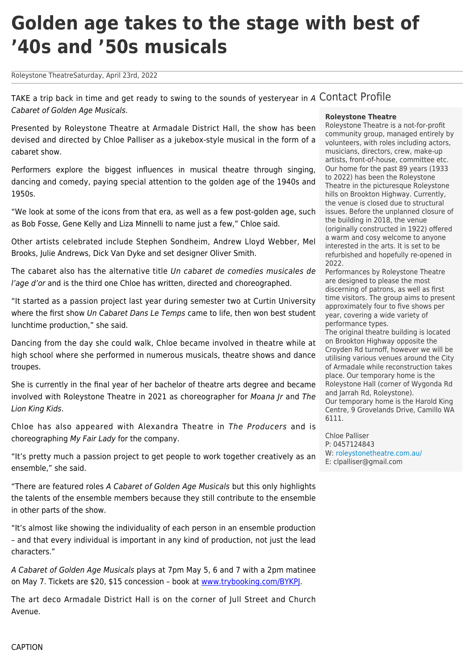## **Golden age takes to the stage with best of '40s and '50s musicals**

## Roleystone TheatreSaturday, April 23rd, 2022

TAKE a trip back in time and get ready to swing to the sounds of yesteryear in A CON $\textrm{tact}$  Pr $\textrm{ofile}$ Cabaret of Golden Age Musicals.

Presented by Roleystone Theatre at Armadale District Hall, the show has been devised and directed by Chloe Palliser as a jukebox-style musical in the form of a cabaret show.

Performers explore the biggest influences in musical theatre through singing, dancing and comedy, paying special attention to the golden age of the 1940s and 1950s.

"We look at some of the icons from that era, as well as a few post-golden age, such as Bob Fosse, Gene Kelly and Liza Minnelli to name just a few," Chloe said.

Other artists celebrated include Stephen Sondheim, Andrew Lloyd Webber, Mel Brooks, Julie Andrews, Dick Van Dyke and set designer Oliver Smith.

The cabaret also has the alternative title Un cabaret de comedies musicales de l'age d'or and is the third one Chloe has written, directed and choreographed.

"It started as a passion project last year during semester two at Curtin University where the first show Un Cabaret Dans Le Temps came to life, then won best student lunchtime production," she said.

Dancing from the day she could walk, Chloe became involved in theatre while at high school where she performed in numerous musicals, theatre shows and dance troupes.

She is currently in the final year of her bachelor of theatre arts degree and became involved with Roleystone Theatre in 2021 as choreographer for Moana Jr and The Lion King Kids.

Chloe has also appeared with Alexandra Theatre in The Producers and is choreographing My Fair Lady for the company.

"It's pretty much a passion project to get people to work together creatively as an ensemble," she said.

"There are featured roles A Cabaret of Golden Age Musicals but this only highlights the talents of the ensemble members because they still contribute to the ensemble in other parts of the show.

"It's almost like showing the individuality of each person in an ensemble production – and that every individual is important in any kind of production, not just the lead characters."

A Cabaret of Golden Age Musicals plays at 7pm May 5, 6 and 7 with a 2pm matinee on May 7. Tickets are \$20, \$15 concession - book at www.trybooking.com/BYKPI.

The art deco Armadale District Hall is on the corner of Jull Street and Church Avenue.

## **Roleystone Theatre**

Roleystone Theatre is a not-for-profit community group, managed entirely by volunteers, with roles including actors, musicians, directors, crew, make-up artists, front-of-house, committee etc. Our home for the past 89 years (1933 to 2022) has been the Roleystone Theatre in the picturesque Roleystone hills on Brookton Highway. Currently, the venue is closed due to structural issues. Before the unplanned closure of the building in 2018, the venue (originally constructed in 1922) offered a warm and cosy welcome to anyone interested in the arts. It is set to be refurbished and hopefully re-opened in 2022.

Performances by Roleystone Theatre are designed to please the most discerning of patrons, as well as first time visitors. The group aims to present approximately four to five shows per year, covering a wide variety of performance types.

The original theatre building is located on Brookton Highway opposite the Croyden Rd turnoff, however we will be utilising various venues around the City of Armadale while reconstruction takes place. Our temporary home is the Roleystone Hall (corner of Wygonda Rd and Jarrah Rd, Roleystone). Our temporary home is the Harold King

Centre, 9 Grovelands Drive, Camillo WA 6111.

Chloe Palliser P: 0457124843 W: [roleystonetheatre.com.au/](https://roleystonetheatre.com.au/) E: clpalliser@gmail.com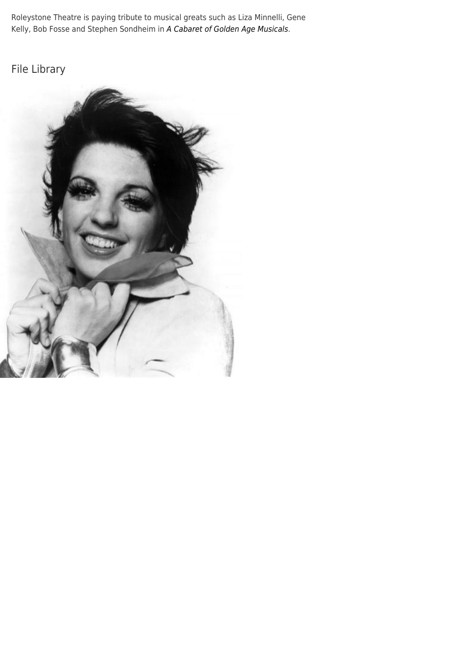Roleystone Theatre is paying tribute to musical greats such as Liza Minnelli, Gene Kelly, Bob Fosse and Stephen Sondheim in A Cabaret of Golden Age Musicals.

File Library

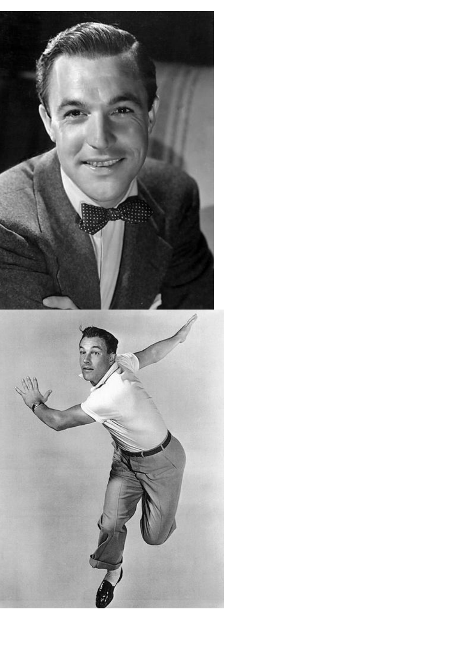